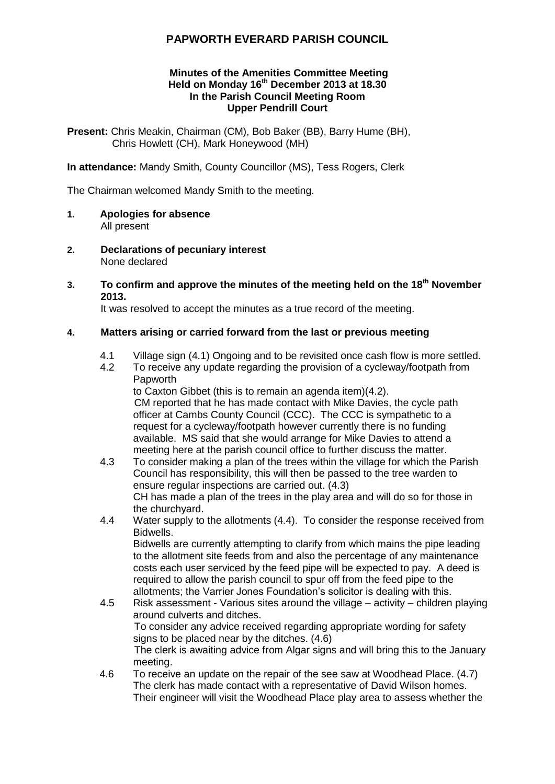# **PAPWORTH EVERARD PARISH COUNCIL**

#### **Minutes of the Amenities Committee Meeting Held on Monday 16th December 2013 at 18.30 In the Parish Council Meeting Room Upper Pendrill Court**

**Present:** Chris Meakin, Chairman (CM), Bob Baker (BB), Barry Hume (BH), Chris Howlett (CH), Mark Honeywood (MH)

**In attendance:** Mandy Smith, County Councillor (MS), Tess Rogers, Clerk

The Chairman welcomed Mandy Smith to the meeting.

- **1. Apologies for absence** All present
- **2. Declarations of pecuniary interest** None declared
- **3. To confirm and approve the minutes of the meeting held on the 18th November 2013.**

It was resolved to accept the minutes as a true record of the meeting.

## **4. Matters arising or carried forward from the last or previous meeting**

- 4.1 Village sign (4.1) Ongoing and to be revisited once cash flow is more settled.
- 4.2 To receive any update regarding the provision of a cycleway/footpath from Papworth

to Caxton Gibbet (this is to remain an agenda item)(4.2). CM reported that he has made contact with Mike Davies, the cycle path officer at Cambs County Council (CCC). The CCC is sympathetic to a request for a cycleway/footpath however currently there is no funding available. MS said that she would arrange for Mike Davies to attend a meeting here at the parish council office to further discuss the matter.

- 4.3 To consider making a plan of the trees within the village for which the Parish Council has responsibility, this will then be passed to the tree warden to ensure regular inspections are carried out. (4.3) CH has made a plan of the trees in the play area and will do so for those in the churchyard.
- 4.4 Water supply to the allotments (4.4). To consider the response received from Bidwells. Bidwells are currently attempting to clarify from which mains the pipe leading to the allotment site feeds from and also the percentage of any maintenance costs each user serviced by the feed pipe will be expected to pay. A deed is required to allow the parish council to spur off from the feed pipe to the allotments; the Varrier Jones Foundation's solicitor is dealing with this.
- 4.5 Risk assessment Various sites around the village activity children playing around culverts and ditches. To consider any advice received regarding appropriate wording for safety signs to be placed near by the ditches. (4.6) The clerk is awaiting advice from Algar signs and will bring this to the January meeting.
- 4.6 To receive an update on the repair of the see saw at Woodhead Place. (4.7) The clerk has made contact with a representative of David Wilson homes. Their engineer will visit the Woodhead Place play area to assess whether the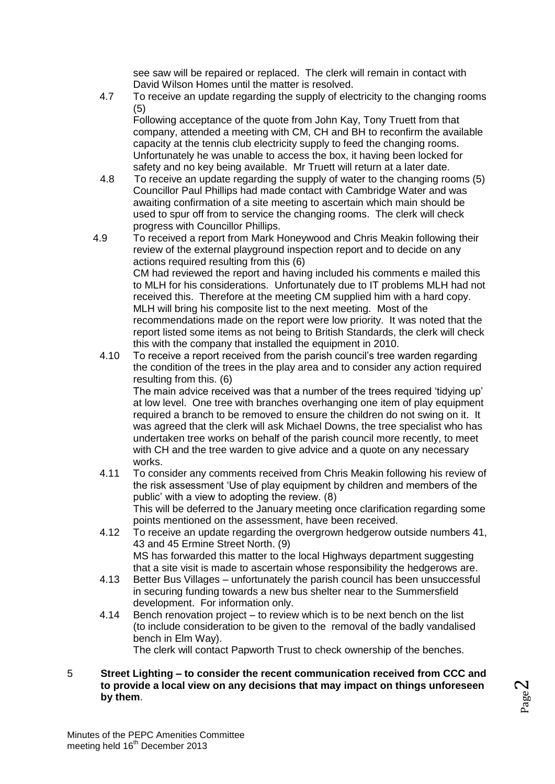see saw will be repaired or replaced. The clerk will remain in contact with David Wilson Homes until the matter is resolved.

4.7 To receive an update regarding the supply of electricity to the changing rooms (5)

Following acceptance of the quote from John Kay, Tony Truett from that company, attended a meeting with CM, CH and BH to reconfirm the available capacity at the tennis club electricity supply to feed the changing rooms. Unfortunately he was unable to access the box, it having been locked for safety and no key being available. Mr Truett will return at a later date.

- 4.8 To receive an update regarding the supply of water to the changing rooms (5) Councillor Paul Phillips had made contact with Cambridge Water and was awaiting confirmation of a site meeting to ascertain which main should be used to spur off from to service the changing rooms. The clerk will check progress with Councillor Phillips.
- 4.9 To received a report from Mark Honeywood and Chris Meakin following their review of the external playground inspection report and to decide on any actions required resulting from this (6) CM had reviewed the report and having included his comments e mailed this to MLH for his considerations. Unfortunately due to IT problems MLH had not received this. Therefore at the meeting CM supplied him with a hard copy. MLH will bring his composite list to the next meeting. Most of the recommendations made on the report were low priority. It was noted that the report listed some items as not being to British Standards, the clerk will check this with the company that installed the equipment in 2010.
	- 4.10 To receive a report received from the parish council's tree warden regarding the condition of the trees in the play area and to consider any action required resulting from this. (6)

The main advice received was that a number of the trees required 'tidying up' at low level. One tree with branches overhanging one item of play equipment required a branch to be removed to ensure the children do not swing on it. It was agreed that the clerk will ask Michael Downs, the tree specialist who has undertaken tree works on behalf of the parish council more recently, to meet with CH and the tree warden to give advice and a quote on any necessary works.

- 4.11 To consider any comments received from Chris Meakin following his review of the risk assessment 'Use of play equipment by children and members of the public' with a view to adopting the review. (8) This will be deferred to the January meeting once clarification regarding some points mentioned on the assessment, have been received.
- 4.12 To receive an update regarding the overgrown hedgerow outside numbers 41, 43 and 45 Ermine Street North. (9) MS has forwarded this matter to the local Highways department suggesting that a site visit is made to ascertain whose responsibility the hedgerows are.
- 4.13 Better Bus Villages unfortunately the parish council has been unsuccessful in securing funding towards a new bus shelter near to the Summersfield development. For information only.
- 4.14 Bench renovation project to review which is to be next bench on the list (to include consideration to be given to the removal of the badly vandalised bench in Elm Way).

The clerk will contact Papworth Trust to check ownership of the benches.

Page  $\boldsymbol{\sim}$ 

5 **Street Lighting – to consider the recent communication received from CCC and to provide a local view on any decisions that may impact on things unforeseen by them**.